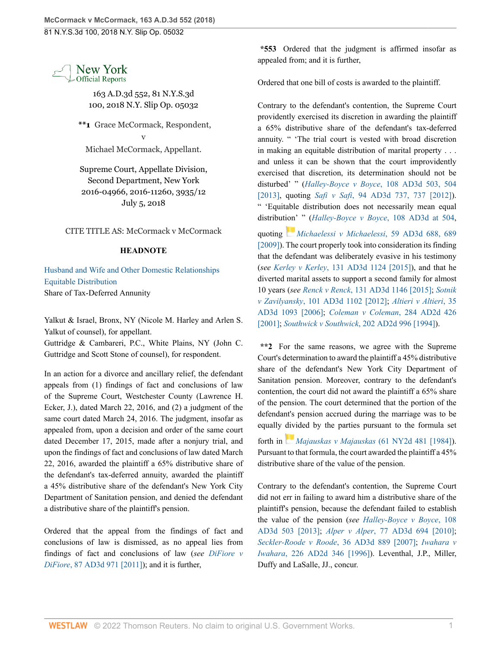New York **Official Reports** 

> 163 A.D.3d 552, 81 N.Y.S.3d 100, 2018 N.Y. Slip Op. 05032

**\*\*1** Grace McCormack, Respondent, v

Michael McCormack, Appellant.

Supreme Court, Appellate Division, Second Department, New York 2016-04966, 2016-11260, 3935/12 July 5, 2018

CITE TITLE AS: McCormack v McCormack

## **HEADNOTE**

[Husband and Wife and Other Domestic Relationships](http://www.westlaw.com/Browse/Home/NYOKeyNumber/NY00000012170/View.html?docGuid=I569765b0807d11e8bf5b87f7a9ec4e9f&contentType=nyoDigest2and3&originationContext=document&transitionType=Document&vr=3.0&rs=cblt1.0&contextData=(sc.Search)) [Equitable Distribution](http://www.westlaw.com/Browse/Home/NYOKeyNumber/NY00000012175/View.html?docGuid=I569765b0807d11e8bf5b87f7a9ec4e9f&contentType=nyoDigest2and3&originationContext=document&transitionType=Document&vr=3.0&rs=cblt1.0&contextData=(sc.Search)) Share of Tax-Deferred Annunity

Yalkut & Israel, Bronx, NY (Nicole M. Harley and Arlen S. Yalkut of counsel), for appellant.

Guttridge & Cambareri, P.C., White Plains, NY (John C. Guttridge and Scott Stone of counsel), for respondent.

In an action for a divorce and ancillary relief, the defendant appeals from (1) findings of fact and conclusions of law of the Supreme Court, Westchester County (Lawrence H. Ecker, J.), dated March 22, 2016, and (2) a judgment of the same court dated March 24, 2016. The judgment, insofar as appealed from, upon a decision and order of the same court dated December 17, 2015, made after a nonjury trial, and upon the findings of fact and conclusions of law dated March 22, 2016, awarded the plaintiff a 65% distributive share of the defendant's tax-deferred annuity, awarded the plaintiff a 45% distributive share of the defendant's New York City Department of Sanitation pension, and denied the defendant a distributive share of the plaintiff's pension.

Ordered that the appeal from the findings of fact and conclusions of law is dismissed, as no appeal lies from findings of fact and conclusions of law (*see [DiFiore v](http://www.westlaw.com/Link/Document/FullText?findType=Y&pubNum=0007049&cite=87AD3D971&originatingDoc=I569765b0807d11e8bf5b87f7a9ec4e9f&refType=RP&originationContext=document&vr=3.0&rs=cblt1.0&transitionType=DocumentItem&contextData=(sc.Search)) DiFiore*[, 87 AD3d 971 \[2011\]](http://www.westlaw.com/Link/Document/FullText?findType=Y&pubNum=0007049&cite=87AD3D971&originatingDoc=I569765b0807d11e8bf5b87f7a9ec4e9f&refType=RP&originationContext=document&vr=3.0&rs=cblt1.0&transitionType=DocumentItem&contextData=(sc.Search))); and it is further,

**\*553** Ordered that the judgment is affirmed insofar as appealed from; and it is further,

Ordered that one bill of costs is awarded to the plaintiff.

Contrary to the defendant's contention, the Supreme Court providently exercised its discretion in awarding the plaintiff a 65% distributive share of the defendant's tax-deferred annuity. " 'The trial court is vested with broad discretion in making an equitable distribution of marital property . . . and unless it can be shown that the court improvidently exercised that discretion, its determination should not be disturbed' " (*Halley-Boyce v Boyce*[, 108 AD3d 503, 504](http://www.westlaw.com/Link/Document/FullText?findType=Y&pubNum=0007049&cite=108AD3D503&originatingDoc=I569765b0807d11e8bf5b87f7a9ec4e9f&refType=RP&fi=co_pp_sp_7049_504&originationContext=document&vr=3.0&rs=cblt1.0&transitionType=DocumentItem&contextData=(sc.Search)#co_pp_sp_7049_504) [\[2013\],](http://www.westlaw.com/Link/Document/FullText?findType=Y&pubNum=0007049&cite=108AD3D503&originatingDoc=I569765b0807d11e8bf5b87f7a9ec4e9f&refType=RP&fi=co_pp_sp_7049_504&originationContext=document&vr=3.0&rs=cblt1.0&transitionType=DocumentItem&contextData=(sc.Search)#co_pp_sp_7049_504) quoting *Safi v Safi*[, 94 AD3d 737, 737 \[2012\]](http://www.westlaw.com/Link/Document/FullText?findType=Y&pubNum=0007049&cite=94AD3D737&originatingDoc=I569765b0807d11e8bf5b87f7a9ec4e9f&refType=RP&originationContext=document&vr=3.0&rs=cblt1.0&transitionType=DocumentItem&contextData=(sc.Search))). " 'Equitable distribution does not necessarily mean equal distribut[ion'](https://1.next.westlaw.com/Link/RelatedInformation/Flag?documentGuid=Id8d4caf2073c11deb77d9846f86fae5c&transitionType=InlineKeyCiteFlags&originationContext=docHeaderFlag&Rank=0&ppcid=d572b04d17fd40c2bd08c51bddd34a02&contextData=(sc.Search) ) " (*[Halley-Boyce v Boyce](http://www.westlaw.com/Link/Document/FullText?findType=Y&pubNum=0007049&cite=108AD3D504&originatingDoc=I569765b0807d11e8bf5b87f7a9ec4e9f&refType=RP&fi=co_pp_sp_7049_504&originationContext=document&vr=3.0&rs=cblt1.0&transitionType=DocumentItem&contextData=(sc.Search)#co_pp_sp_7049_504)*, 108 AD3d at 504, quoting *[Michaelessi v Michaelessi](http://www.westlaw.com/Link/Document/FullText?findType=Y&pubNum=0007049&cite=59AD3D688&originatingDoc=I569765b0807d11e8bf5b87f7a9ec4e9f&refType=RP&fi=co_pp_sp_7049_689&originationContext=document&vr=3.0&rs=cblt1.0&transitionType=DocumentItem&contextData=(sc.Search)#co_pp_sp_7049_689)*, 59 AD3d 688, 689 [\[2009\]\)](http://www.westlaw.com/Link/Document/FullText?findType=Y&pubNum=0007049&cite=59AD3D688&originatingDoc=I569765b0807d11e8bf5b87f7a9ec4e9f&refType=RP&fi=co_pp_sp_7049_689&originationContext=document&vr=3.0&rs=cblt1.0&transitionType=DocumentItem&contextData=(sc.Search)#co_pp_sp_7049_689). The court properly took into consideration its finding that the defendant was deliberately evasive in his testimony (*see Kerley v Kerley*[, 131 AD3d 1124 \[2015\]](http://www.westlaw.com/Link/Document/FullText?findType=Y&pubNum=0007049&cite=131AD3D1124&originatingDoc=I569765b0807d11e8bf5b87f7a9ec4e9f&refType=RP&originationContext=document&vr=3.0&rs=cblt1.0&transitionType=DocumentItem&contextData=(sc.Search))), and that he diverted marital assets to support a second family for almost 10 years (*see Renck v Renck*[, 131 AD3d 1146 \[2015\];](http://www.westlaw.com/Link/Document/FullText?findType=Y&pubNum=0007049&cite=131AD3D1146&originatingDoc=I569765b0807d11e8bf5b87f7a9ec4e9f&refType=RP&originationContext=document&vr=3.0&rs=cblt1.0&transitionType=DocumentItem&contextData=(sc.Search)) *[Sotnik](http://www.westlaw.com/Link/Document/FullText?findType=Y&pubNum=0007049&cite=101AD3D1102&originatingDoc=I569765b0807d11e8bf5b87f7a9ec4e9f&refType=RP&originationContext=document&vr=3.0&rs=cblt1.0&transitionType=DocumentItem&contextData=(sc.Search)) v Zavilyansky*[, 101 AD3d 1102 \[2012\]](http://www.westlaw.com/Link/Document/FullText?findType=Y&pubNum=0007049&cite=101AD3D1102&originatingDoc=I569765b0807d11e8bf5b87f7a9ec4e9f&refType=RP&originationContext=document&vr=3.0&rs=cblt1.0&transitionType=DocumentItem&contextData=(sc.Search)); *[Altieri v Altieri](http://www.westlaw.com/Link/Document/FullText?findType=Y&pubNum=0007049&cite=35AD3D1093&originatingDoc=I569765b0807d11e8bf5b87f7a9ec4e9f&refType=RP&originationContext=document&vr=3.0&rs=cblt1.0&transitionType=DocumentItem&contextData=(sc.Search))*, 35 [AD3d 1093 \[2006\]](http://www.westlaw.com/Link/Document/FullText?findType=Y&pubNum=0007049&cite=35AD3D1093&originatingDoc=I569765b0807d11e8bf5b87f7a9ec4e9f&refType=RP&originationContext=document&vr=3.0&rs=cblt1.0&transitionType=DocumentItem&contextData=(sc.Search)); *[Coleman v Coleman](http://www.westlaw.com/Link/Document/FullText?findType=Y&pubNum=0000155&cite=284APPDIV2D426&originatingDoc=I569765b0807d11e8bf5b87f7a9ec4e9f&refType=RP&originationContext=document&vr=3.0&rs=cblt1.0&transitionType=DocumentItem&contextData=(sc.Search))*, 284 AD2d 426 [\[2001\];](http://www.westlaw.com/Link/Document/FullText?findType=Y&pubNum=0000155&cite=284APPDIV2D426&originatingDoc=I569765b0807d11e8bf5b87f7a9ec4e9f&refType=RP&originationContext=document&vr=3.0&rs=cblt1.0&transitionType=DocumentItem&contextData=(sc.Search)) *Southwick v Southwick*[, 202 AD2d 996 \[1994\]](http://www.westlaw.com/Link/Document/FullText?findType=Y&pubNum=0000155&cite=202APPDIV2D996&originatingDoc=I569765b0807d11e8bf5b87f7a9ec4e9f&refType=RP&originationContext=document&vr=3.0&rs=cblt1.0&transitionType=DocumentItem&contextData=(sc.Search))).

**\*\*2** For the same reasons, we agree with the Supreme Court's determination to award the plaintiff a 45% distributive share of the defendant's New York City Department of Sanitation pension. Moreover, contrary to the defendant's contention, the court did not award the plaintiff a 65% share of the pension. The court determined that the portion of the defendant's pension accrued during the marriage was to be equally [divi](https://1.next.westlaw.com/Link/RelatedInformation/Flag?documentGuid=I2a72c2b7d92d11d9a489ee624f1f6e1a&transitionType=InlineKeyCiteFlags&originationContext=docHeaderFlag&Rank=0&ppcid=d572b04d17fd40c2bd08c51bddd34a02&contextData=(sc.Search) )ded by the parties pursuant to the formula set forth in *[Majauskas v Majauskas](http://www.westlaw.com/Link/Document/FullText?findType=Y&pubNum=0000605&cite=61NY2D481&originatingDoc=I569765b0807d11e8bf5b87f7a9ec4e9f&refType=RP&originationContext=document&vr=3.0&rs=cblt1.0&transitionType=DocumentItem&contextData=(sc.Search))* (61 NY2d 481 [1984]). Pursuant to that formula, the court awarded the plaintiff a 45% distributive share of the value of the pension.

Contrary to the defendant's contention, the Supreme Court did not err in failing to award him a distributive share of the plaintiff's pension, because the defendant failed to establish the value of the pension (*see [Halley-Boyce v Boyce](http://www.westlaw.com/Link/Document/FullText?findType=Y&pubNum=0007049&cite=108AD3D503&originatingDoc=I569765b0807d11e8bf5b87f7a9ec4e9f&refType=RP&originationContext=document&vr=3.0&rs=cblt1.0&transitionType=DocumentItem&contextData=(sc.Search))*, 108 [AD3d 503 \[2013\];](http://www.westlaw.com/Link/Document/FullText?findType=Y&pubNum=0007049&cite=108AD3D503&originatingDoc=I569765b0807d11e8bf5b87f7a9ec4e9f&refType=RP&originationContext=document&vr=3.0&rs=cblt1.0&transitionType=DocumentItem&contextData=(sc.Search)) *Alper v Alper*[, 77 AD3d 694 \[2010\]](http://www.westlaw.com/Link/Document/FullText?findType=Y&pubNum=0007049&cite=77AD3D694&originatingDoc=I569765b0807d11e8bf5b87f7a9ec4e9f&refType=RP&originationContext=document&vr=3.0&rs=cblt1.0&transitionType=DocumentItem&contextData=(sc.Search)); *[Seckler-Roode v Roode](http://www.westlaw.com/Link/Document/FullText?findType=Y&pubNum=0007049&cite=36AD3D889&originatingDoc=I569765b0807d11e8bf5b87f7a9ec4e9f&refType=RP&originationContext=document&vr=3.0&rs=cblt1.0&transitionType=DocumentItem&contextData=(sc.Search))*, 36 AD3d 889 [2007]; *[Iwahara v](http://www.westlaw.com/Link/Document/FullText?findType=Y&pubNum=0000155&cite=226APPDIV2D346&originatingDoc=I569765b0807d11e8bf5b87f7a9ec4e9f&refType=RP&originationContext=document&vr=3.0&rs=cblt1.0&transitionType=DocumentItem&contextData=(sc.Search)) Iwahara*[, 226 AD2d 346 \[1996\]](http://www.westlaw.com/Link/Document/FullText?findType=Y&pubNum=0000155&cite=226APPDIV2D346&originatingDoc=I569765b0807d11e8bf5b87f7a9ec4e9f&refType=RP&originationContext=document&vr=3.0&rs=cblt1.0&transitionType=DocumentItem&contextData=(sc.Search))). Leventhal, J.P., Miller, Duffy and LaSalle, JJ., concur.